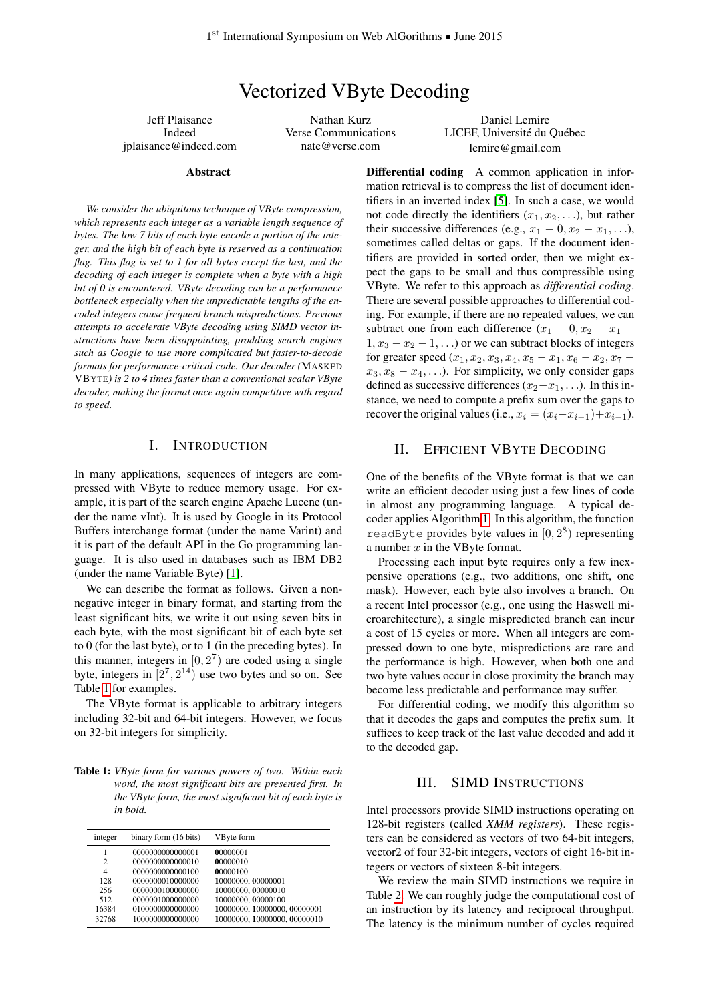# Vectorized VByte Decoding

Jeff Plaisance Indeed jplaisance@indeed.com

#### Abstract

*We consider the ubiquitous technique of VByte compression, which represents each integer as a variable length sequence of bytes. The low 7 bits of each byte encode a portion of the integer, and the high bit of each byte is reserved as a continuation flag. This flag is set to 1 for all bytes except the last, and the decoding of each integer is complete when a byte with a high bit of 0 is encountered. VByte decoding can be a performance bottleneck especially when the unpredictable lengths of the encoded integers cause frequent branch mispredictions. Previous attempts to accelerate VByte decoding using SIMD vector instructions have been disappointing, prodding search engines such as Google to use more complicated but faster-to-decode formats for performance-critical code. Our decoder (*MASKED VBYTE*) is 2 to 4 times faster than a conventional scalar VByte decoder, making the format once again competitive with regard to speed.*

# I. INTRODUCTION

In many applications, sequences of integers are compressed with VByte to reduce memory usage. For example, it is part of the search engine Apache Lucene (under the name vInt). It is used by Google in its Protocol Buffers interchange format (under the name Varint) and it is part of the default API in the Go programming language. It is also used in databases such as IBM DB2 (under the name Variable Byte) [\[1\]](#page-5-0).

We can describe the format as follows. Given a nonnegative integer in binary format, and starting from the least significant bits, we write it out using seven bits in each byte, with the most significant bit of each byte set to 0 (for the last byte), or to 1 (in the preceding bytes). In this manner, integers in  $[0, 2<sup>7</sup>)$  are coded using a single byte, integers in  $[2^7, 2^{14})$  use two bytes and so on. See Table [1](#page-0-0) for examples.

The VByte format is applicable to arbitrary integers including 32-bit and 64-bit integers. However, we focus on 32-bit integers for simplicity.

<span id="page-0-0"></span>Table 1: *VByte form for various powers of two. Within each word, the most significant bits are presented first. In the VByte form, the most significant bit of each byte is in bold.*

| integer        | binary form (16 bits) | VByte form                   |
|----------------|-----------------------|------------------------------|
|                | 0000000000000001      | 00000001                     |
| $\overline{c}$ | 0000000000000010      | 00000010                     |
| $\overline{4}$ | 0000000000000100      | 00000100                     |
| 128            | 0000000010000000      | 10000000.00000001            |
| 256            | 0000000100000000      | 10000000.00000010            |
| 512            | 0000001000000000      | 10000000.00000100            |
| 16384          | 0100000000000000      | 10000000, 10000000, 00000001 |
| 32768          | 1000000000000000      | 10000000, 10000000, 00000010 |

Nathan Kurz Verse Communications nate@verse.com

Daniel Lemire LICEF, Université du Québec lemire@gmail.com

Differential coding A common application in information retrieval is to compress the list of document identifiers in an inverted index [\[5\]](#page-5-1). In such a case, we would not code directly the identifiers  $(x_1, x_2, \ldots)$ , but rather their successive differences (e.g.,  $x_1 - 0, x_2 - x_1, \ldots$ ), sometimes called deltas or gaps. If the document identifiers are provided in sorted order, then we might expect the gaps to be small and thus compressible using VByte. We refer to this approach as *differential coding*. There are several possible approaches to differential coding. For example, if there are no repeated values, we can subtract one from each difference  $(x_1 - 0, x_2 - x_1 1, x_3 - x_2 - 1, \ldots$  or we can subtract blocks of integers for greater speed  $(x_1, x_2, x_3, x_4, x_5 - x_1, x_6 - x_2, x_7$  $x_3, x_8 - x_4, \ldots$ ). For simplicity, we only consider gaps defined as successive differences  $(x_2-x_1, \ldots)$ . In this instance, we need to compute a prefix sum over the gaps to recover the original values (i.e.,  $x_i = (x_i - x_{i-1}) + x_{i-1}$ ).

# II. EFFICIENT VBYTE DECODING

One of the benefits of the VByte format is that we can write an efficient decoder using just a few lines of code in almost any programming language. A typical decoder applies Algorithm [1.](#page-1-0) In this algorithm, the function readByte provides byte values in  $[0, 2^8)$  representing a number  $x$  in the VByte format.

Processing each input byte requires only a few inexpensive operations (e.g., two additions, one shift, one mask). However, each byte also involves a branch. On a recent Intel processor (e.g., one using the Haswell microarchitecture), a single mispredicted branch can incur a cost of 15 cycles or more. When all integers are compressed down to one byte, mispredictions are rare and the performance is high. However, when both one and two byte values occur in close proximity the branch may become less predictable and performance may suffer.

For differential coding, we modify this algorithm so that it decodes the gaps and computes the prefix sum. It suffices to keep track of the last value decoded and add it to the decoded gap.

# III. SIMD INSTRUCTIONS

Intel processors provide SIMD instructions operating on 128-bit registers (called *XMM registers*). These registers can be considered as vectors of two 64-bit integers, vector2 of four 32-bit integers, vectors of eight 16-bit integers or vectors of sixteen 8-bit integers.

We review the main SIMD instructions we require in Table [2.](#page-2-0) We can roughly judge the computational cost of an instruction by its latency and reciprocal throughput. The latency is the minimum number of cycles required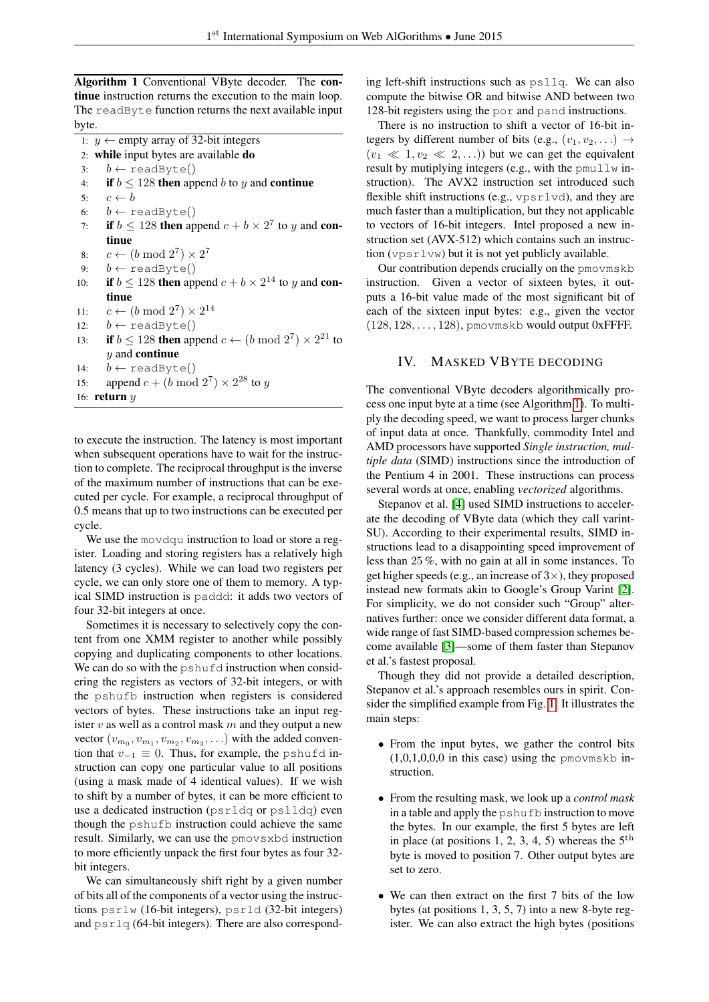<span id="page-1-0"></span>Algorithm 1 Conventional VByte decoder. The continue instruction returns the execution to the main loop. The readByte function returns the next available input byte.

1:  $y$  ← empty array of 32-bit integers 2: while input bytes are available do 3:  $b \leftarrow \text{readByte}()$ 4: if  $b \le 128$  then append b to y and continue 5:  $c \leftarrow b$ 6:  $b \leftarrow \text{readByte}()$ 7: if  $b \le 128$  then append  $c + b \times 2^7$  to y and continue 8:  $c \leftarrow (b \mod 2^7) \times 2^7$ 9:  $b \leftarrow \text{readByte}()$ 10: if  $b \le 128$  then append  $c + b \times 2^{14}$  to y and continue 11:  $c \leftarrow (b \mod 2^7) \times 2^{14}$ 12:  $b \leftarrow \text{readByte}()$ 13: if  $b \le 128$  then append  $c \leftarrow (b \mod 2^7) \times 2^{21}$  to  *and continue* 14:  $b \leftarrow \text{readByte}()$ 15: append  $c + (b \mod 2^7) \times 2^{28}$  to y 16: return  $y$ 

to execute the instruction. The latency is most important when subsequent operations have to wait for the instruction to complete. The reciprocal throughput is the inverse of the maximum number of instructions that can be executed per cycle. For example, a reciprocal throughput of 0.5 means that up to two instructions can be executed per cycle.

We use the movdqu instruction to load or store a register. Loading and storing registers has a relatively high latency (3 cycles). While we can load two registers per cycle, we can only store one of them to memory. A typical SIMD instruction is paddd: it adds two vectors of four 32-bit integers at once.

Sometimes it is necessary to selectively copy the content from one XMM register to another while possibly copying and duplicating components to other locations. We can do so with the pshufd instruction when considering the registers as vectors of 32-bit integers, or with the pshufb instruction when registers is considered vectors of bytes. These instructions take an input register v as well as a control mask  $m$  and they output a new vector  $(v_{m_0}, v_{m_1}, v_{m_2}, v_{m_3}, \ldots)$  with the added convention that  $v_{-1} \equiv 0$ . Thus, for example, the pshufd instruction can copy one particular value to all positions (using a mask made of 4 identical values). If we wish to shift by a number of bytes, it can be more efficient to use a dedicated instruction (psrldq or pslldq) even though the pshufb instruction could achieve the same result. Similarly, we can use the pmovsxbd instruction to more efficiently unpack the first four bytes as four 32 bit integers.

We can simultaneously shift right by a given number of bits all of the components of a vector using the instructions psrlw (16-bit integers), psrld (32-bit integers) and  $psrlq$  (64-bit integers). There are also corresponding left-shift instructions such as psllq. We can also compute the bitwise OR and bitwise AND between two 128-bit registers using the por and pand instructions.

There is no instruction to shift a vector of 16-bit integers by different number of bits (e.g.,  $(v_1, v_2, ...) \rightarrow$  $(v_1 \ll 1, v_2 \ll 2, ...)$  but we can get the equivalent result by mutiplying integers (e.g., with the pmullw instruction). The AVX2 instruction set introduced such flexible shift instructions (e.g., vpsrlvd), and they are much faster than a multiplication, but they not applicable to vectors of 16-bit integers. Intel proposed a new instruction set (AVX-512) which contains such an instruction (vpsrlvw) but it is not yet publicly available.

Our contribution depends crucially on the pmovmskb instruction. Given a vector of sixteen bytes, it outputs a 16-bit value made of the most significant bit of each of the sixteen input bytes: e.g., given the vector  $(128, 128, \ldots, 128)$ , pmovmskb would output 0xFFFF.

# IV. MASKED VBYTE DECODING

The conventional VByte decoders algorithmically process one input byte at a time (see Algorithm [1\)](#page-1-0). To multiply the decoding speed, we want to process larger chunks of input data at once. Thankfully, commodity Intel and AMD processors have supported *Single instruction, multiple data* (SIMD) instructions since the introduction of the Pentium 4 in 2001. These instructions can process several words at once, enabling *vectorized* algorithms.

Stepanov et al. [\[4\]](#page-5-2) used SIMD instructions to accelerate the decoding of VByte data (which they call varint-SU). According to their experimental results, SIMD instructions lead to a disappointing speed improvement of less than 25 %, with no gain at all in some instances. To get higher speeds (e.g., an increase of  $3\times$ ), they proposed instead new formats akin to Google's Group Varint [\[2\]](#page-5-3). For simplicity, we do not consider such "Group" alternatives further: once we consider different data format, a wide range of fast SIMD-based compression schemes become available [\[3\]](#page-5-4)—some of them faster than Stepanov et al.'s fastest proposal.

Though they did not provide a detailed description, Stepanov et al.'s approach resembles ours in spirit. Consider the simplified example from Fig. [1.](#page-3-0) It illustrates the main steps:

- From the input bytes, we gather the control bits  $(1,0,1,0,0,0)$  in this case) using the pmovmskb instruction.
- From the resulting mask, we look up a *control mask* in a table and apply the pshufb instruction to move the bytes. In our example, the first 5 bytes are left in place (at positions 1, 2, 3, 4, 5) whereas the  $5<sup>th</sup>$ byte is moved to position 7. Other output bytes are set to zero.
- We can then extract on the first 7 bits of the low bytes (at positions 1, 3, 5, 7) into a new 8-byte register. We can also extract the high bytes (positions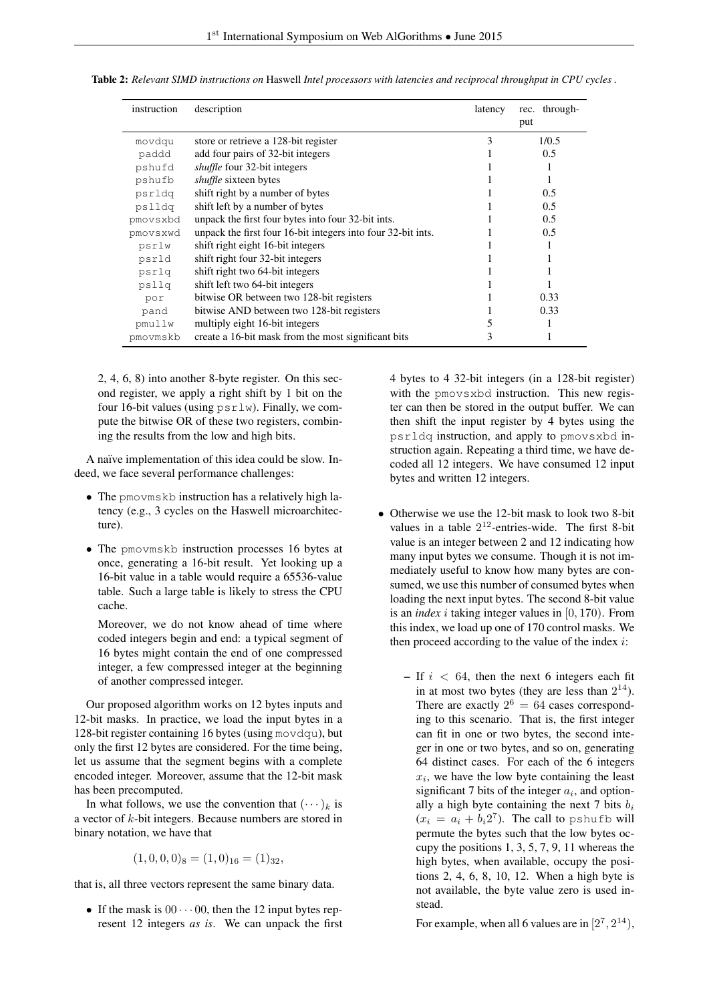| instruction | description                                                  | latency | rec. through- |
|-------------|--------------------------------------------------------------|---------|---------------|
|             |                                                              |         | put           |
| movdqu      | store or retrieve a 128-bit register                         | 3       | 1/0.5         |
| paddd       | add four pairs of 32-bit integers                            |         | 0.5           |
| pshufd      | <i>shuffle</i> four 32-bit integers                          |         |               |
| pshufb      | shuffle sixteen bytes                                        |         |               |
| psrldq      | shift right by a number of bytes                             |         | 0.5           |
| pslldg      | shift left by a number of bytes                              |         | 0.5           |
| pmovsxbd    | unpack the first four bytes into four 32-bit ints.           |         | 0.5           |
| pmovsxwd    | unpack the first four 16-bit integers into four 32-bit ints. |         | 0.5           |
| psrlw       | shift right eight 16-bit integers                            |         |               |
| psrld       | shift right four 32-bit integers                             |         |               |
| psrlq       | shift right two 64-bit integers                              |         |               |
| psllq       | shift left two 64-bit integers                               |         |               |
| por         | bitwise OR between two 128-bit registers                     |         | 0.33          |
| pand        | bitwise AND between two 128-bit registers                    |         | 0.33          |
| pmullw      | multiply eight 16-bit integers                               | 5       |               |
| pmovmskb    | create a 16-bit mask from the most significant bits          | 3       |               |

<span id="page-2-0"></span>Table 2: *Relevant SIMD instructions on* Haswell *Intel processors with latencies and reciprocal throughput in CPU cycles .*

2, 4, 6, 8) into another 8-byte register. On this second register, we apply a right shift by 1 bit on the four 16-bit values (using  $psrlw$ ). Finally, we compute the bitwise OR of these two registers, combining the results from the low and high bits.

A naïve implementation of this idea could be slow. Indeed, we face several performance challenges:

- The pmovmskb instruction has a relatively high latency (e.g., 3 cycles on the Haswell microarchitecture).
- The pmovmskb instruction processes 16 bytes at once, generating a 16-bit result. Yet looking up a 16-bit value in a table would require a 65536-value table. Such a large table is likely to stress the CPU cache.

Moreover, we do not know ahead of time where coded integers begin and end: a typical segment of 16 bytes might contain the end of one compressed integer, a few compressed integer at the beginning of another compressed integer.

Our proposed algorithm works on 12 bytes inputs and 12-bit masks. In practice, we load the input bytes in a 128-bit register containing 16 bytes (using movdqu), but only the first 12 bytes are considered. For the time being, let us assume that the segment begins with a complete encoded integer. Moreover, assume that the 12-bit mask has been precomputed.

In what follows, we use the convention that  $(\cdots)_k$  is a vector of k-bit integers. Because numbers are stored in binary notation, we have that

$$
(1,0,0,0)_8 = (1,0)_{16} = (1)_{32},
$$

that is, all three vectors represent the same binary data.

• If the mask is  $00 \cdots 00$ , then the 12 input bytes represent 12 integers *as is*. We can unpack the first 4 bytes to 4 32-bit integers (in a 128-bit register) with the pmovsxbd instruction. This new register can then be stored in the output buffer. We can then shift the input register by 4 bytes using the psrldq instruction, and apply to pmovsxbd instruction again. Repeating a third time, we have decoded all 12 integers. We have consumed 12 input bytes and written 12 integers.

- Otherwise we use the 12-bit mask to look two 8-bit values in a table  $2^{12}$ -entries-wide. The first 8-bit value is an integer between 2 and 12 indicating how many input bytes we consume. Though it is not immediately useful to know how many bytes are consumed, we use this number of consumed bytes when loading the next input bytes. The second 8-bit value is an *index* i taking integer values in [0, 170). From this index, we load up one of 170 control masks. We then proceed according to the value of the index  $i$ :
	- If  $i < 64$ , then the next 6 integers each fit in at most two bytes (they are less than  $2^{14}$ ). There are exactly  $2^6 = 64$  cases corresponding to this scenario. That is, the first integer can fit in one or two bytes, the second integer in one or two bytes, and so on, generating 64 distinct cases. For each of the 6 integers  $x_i$ , we have the low byte containing the least significant 7 bits of the integer  $a_i$ , and optionally a high byte containing the next 7 bits  $b_i$  $(x_i = a_i + b_i 2^7)$ . The call to pshufb will permute the bytes such that the low bytes occupy the positions 1, 3, 5, 7, 9, 11 whereas the high bytes, when available, occupy the positions 2, 4, 6, 8, 10, 12. When a high byte is not available, the byte value zero is used instead.

For example, when all 6 values are in  $[2^7, 2^{14})$ ,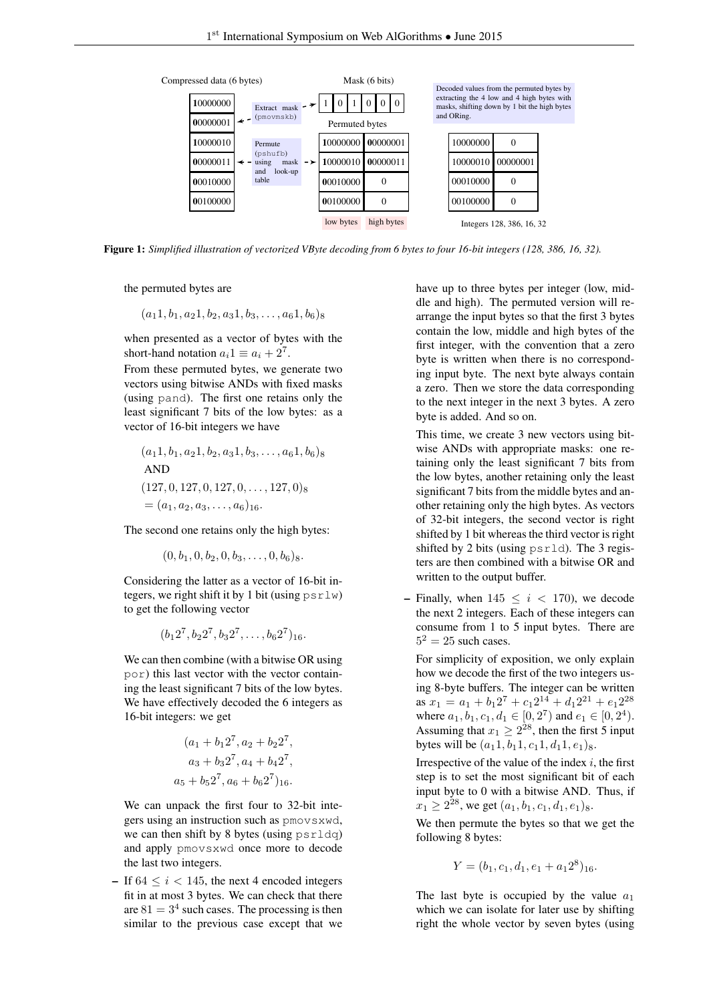<span id="page-3-0"></span>

Figure 1: *Simplified illustration of vectorized VByte decoding from 6 bytes to four 16-bit integers (128, 386, 16, 32).*

the permuted bytes are

$$
(a_11, b_1, a_21, b_2, a_31, b_3, \ldots, a_61, b_6)_8
$$

when presented as a vector of bytes with the short-hand notation  $a_i 1 \equiv a_i + 2^7$ .

From these permuted bytes, we generate two vectors using bitwise ANDs with fixed masks (using pand). The first one retains only the least significant 7 bits of the low bytes: as a vector of 16-bit integers we have

$$
(a_1 1, b_1, a_2 1, b_2, a_3 1, b_3, \dots, a_6 1, b_6)
$$
  
AND  

$$
(127, 0, 127, 0, 127, 0, \dots, 127, 0)
$$
  

$$
= (a_1, a_2, a_3, \dots, a_6)
$$
16.

The second one retains only the high bytes:

$$
(0, b1, 0, b2, 0, b3, ..., 0, b6)8.
$$

Considering the latter as a vector of 16-bit integers, we right shift it by 1 bit (using  $psrlw$ ) to get the following vector

$$
(b_1 2^7, b_2 2^7, b_3 2^7, \ldots, b_6 2^7)_{16}.
$$

We can then combine (with a bitwise OR using por) this last vector with the vector containing the least significant 7 bits of the low bytes. We have effectively decoded the 6 integers as 16-bit integers: we get

$$
(a_1 + b_1 2^7, a_2 + b_2 2^7,a_3 + b_3 2^7, a_4 + b_4 2^7,a_5 + b_5 2^7, a_6 + b_6 2^7)_{16}.
$$

We can unpack the first four to 32-bit integers using an instruction such as pmovsxwd, we can then shift by 8 bytes (using psrldq) and apply pmovsxwd once more to decode the last two integers.

– If  $64 \le i \le 145$ , the next 4 encoded integers fit in at most 3 bytes. We can check that there are  $81 = 3<sup>4</sup>$  such cases. The processing is then similar to the previous case except that we

have up to three bytes per integer (low, middle and high). The permuted version will rearrange the input bytes so that the first 3 bytes contain the low, middle and high bytes of the first integer, with the convention that a zero byte is written when there is no corresponding input byte. The next byte always contain a zero. Then we store the data corresponding to the next integer in the next 3 bytes. A zero byte is added. And so on.

This time, we create 3 new vectors using bitwise ANDs with appropriate masks: one retaining only the least significant 7 bits from the low bytes, another retaining only the least significant 7 bits from the middle bytes and another retaining only the high bytes. As vectors of 32-bit integers, the second vector is right shifted by 1 bit whereas the third vector is right shifted by 2 bits (using psrld). The 3 registers are then combined with a bitwise OR and written to the output buffer.

– Finally, when  $145 \le i \le 170$ ), we decode the next 2 integers. Each of these integers can consume from 1 to 5 input bytes. There are  $5^2 = 25$  such cases.

For simplicity of exposition, we only explain how we decode the first of the two integers using 8-byte buffers. The integer can be written as  $x_1 = a_1 + b_1 2^7 + c_1 2^{14} + d_1 2^{21} + e_1 2^{28}$ where  $a_1, b_1, c_1, d_1 \in [0, 2^7)$  and  $e_1 \in [0, 2^4)$ . Assuming that  $x_1 \geq 2^{28}$ , then the first 5 input bytes will be  $(a_11, b_11, c_11, d_11, e_1)_8$ .

Irrespective of the value of the index  $i$ , the first step is to set the most significant bit of each input byte to 0 with a bitwise AND. Thus, if  $x_1 \geq 2^{28}$ , we get  $(a_1, b_1, c_1, d_1, e_1)_8$ .

We then permute the bytes so that we get the following 8 bytes:

$$
Y = (b_1, c_1, d_1, e_1 + a_1 2^8)_{16}.
$$

The last byte is occupied by the value  $a_1$ which we can isolate for later use by shifting right the whole vector by seven bytes (using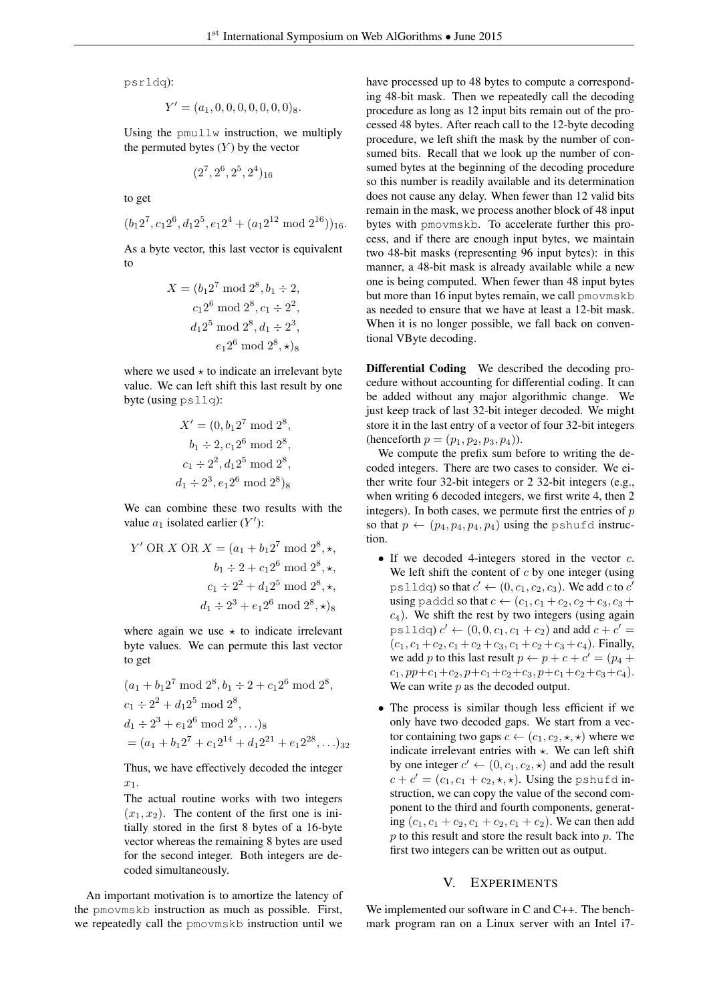psrldq):

$$
Y' = (a_1, 0, 0, 0, 0, 0, 0, 0)_{8}.
$$

Using the pmullw instruction, we multiply the permuted bytes  $(Y)$  by the vector

$$
({\bf 2}^7, {\bf 2}^6, {\bf 2}^5, {\bf 2}^4)_{16}
$$

to get

$$
(b_1 2^7, c_1 2^6, d_1 2^5, e_1 2^4 + (a_1 2^{12} \mod 2^{16}))_{16}.
$$

As a byte vector, this last vector is equivalent to

$$
X = (b_1 2^7 \mod 2^8, b_1 \div 2,
$$
  

$$
c_1 2^6 \mod 2^8, c_1 \div 2^2,
$$
  

$$
d_1 2^5 \mod 2^8, d_1 \div 2^3,
$$
  

$$
e_1 2^6 \mod 2^8, \star)_8
$$

where we used  $\star$  to indicate an irrelevant byte value. We can left shift this last result by one byte (using psllq):

$$
X' = (0, b_1 2^7 \mod 2^8,
$$
  
\n
$$
b_1 \div 2, c_1 2^6 \mod 2^8,
$$
  
\n
$$
c_1 \div 2^2, d_1 2^5 \mod 2^8,
$$
  
\n
$$
d_1 \div 2^3, e_1 2^6 \mod 2^8
$$

We can combine these two results with the value  $a_1$  isolated earlier  $(Y')$ :

$$
Y' \text{ OR } X \text{ OR } X = (a_1 + b_1 2^7 \text{ mod } 2^8, \star,
$$

$$
b_1 \div 2 + c_1 2^6 \text{ mod } 2^8, \star,
$$

$$
c_1 \div 2^2 + d_1 2^5 \text{ mod } 2^8, \star,
$$

$$
d_1 \div 2^3 + e_1 2^6 \text{ mod } 2^8, \star)
$$

where again we use  $\star$  to indicate irrelevant byte values. We can permute this last vector to get

$$
(a_1 + b_1 2^7 \mod 2^8, b_1 \div 2 + c_1 2^6 \mod 2^8,
$$
  
\n
$$
c_1 \div 2^2 + d_1 2^5 \mod 2^8,
$$
  
\n
$$
d_1 \div 2^3 + e_1 2^6 \mod 2^8, \dots),
$$
  
\n
$$
= (a_1 + b_1 2^7 + c_1 2^{14} + d_1 2^{21} + e_1 2^{28}, \dots),
$$

Thus, we have effectively decoded the integer  $x_1$ .

The actual routine works with two integers  $(x_1, x_2)$ . The content of the first one is initially stored in the first 8 bytes of a 16-byte vector whereas the remaining 8 bytes are used for the second integer. Both integers are decoded simultaneously.

An important motivation is to amortize the latency of the pmovmskb instruction as much as possible. First, we repeatedly call the pmovmskb instruction until we

have processed up to 48 bytes to compute a corresponding 48-bit mask. Then we repeatedly call the decoding procedure as long as 12 input bits remain out of the processed 48 bytes. After reach call to the 12-byte decoding procedure, we left shift the mask by the number of consumed bits. Recall that we look up the number of consumed bytes at the beginning of the decoding procedure so this number is readily available and its determination does not cause any delay. When fewer than 12 valid bits remain in the mask, we process another block of 48 input bytes with pmovmskb. To accelerate further this process, and if there are enough input bytes, we maintain two 48-bit masks (representing 96 input bytes): in this manner, a 48-bit mask is already available while a new one is being computed. When fewer than 48 input bytes but more than 16 input bytes remain, we call pmovmskb as needed to ensure that we have at least a 12-bit mask. When it is no longer possible, we fall back on conventional VByte decoding.

Differential Coding We described the decoding procedure without accounting for differential coding. It can be added without any major algorithmic change. We just keep track of last 32-bit integer decoded. We might store it in the last entry of a vector of four 32-bit integers (henceforth  $p = (p_1, p_2, p_3, p_4)$ ).

We compute the prefix sum before to writing the decoded integers. There are two cases to consider. We either write four 32-bit integers or 2 32-bit integers (e.g., when writing 6 decoded integers, we first write 4, then 2 integers). In both cases, we permute first the entries of  $p$ so that  $p \leftarrow (p_4, p_4, p_4, p_4)$  using the pshufd instruction.

- If we decoded 4-integers stored in the vector  $c$ . We left shift the content of  $c$  by one integer (using pslldq) so that  $c' \leftarrow (0, c_1, c_2, c_3)$ . We add c to  $c'$ using paddd so that  $c \leftarrow (c_1, c_1 + c_2, c_2 + c_3, c_3 + c_4)$  $c<sub>4</sub>$ ). We shift the rest by two integers (using again pslldq)  $c' \leftarrow (0, 0, c_1, c_1 + c_2)$  and add  $c + c' =$  $(c_1, c_1+c_2, c_1+c_2+c_3, c_1+c_2+c_3+c_4)$ . Finally, we add p to this last result  $p \leftarrow p + c + c' = (p_4 + p_5)$  $c_1, pp+c_1+c_2, p+c_1+c_2+c_3, p+c_1+c_2+c_3+c_4$ . We can write  $p$  as the decoded output.
- The process is similar though less efficient if we only have two decoded gaps. We start from a vector containing two gaps  $c \leftarrow (c_1, c_2, \star, \star)$  where we indicate irrelevant entries with  $\star$ . We can left shift by one integer  $c' \leftarrow (0, c_1, c_2, \star)$  and add the result  $c + c' = (c_1, c_1 + c_2, \star, \star)$ . Using the pshufd instruction, we can copy the value of the second component to the third and fourth components, generating  $(c_1, c_1 + c_2, c_1 + c_2, c_1 + c_2)$ . We can then add  $p$  to this result and store the result back into  $p$ . The first two integers can be written out as output.

## V. EXPERIMENTS

We implemented our software in C and C++. The benchmark program ran on a Linux server with an Intel i7-